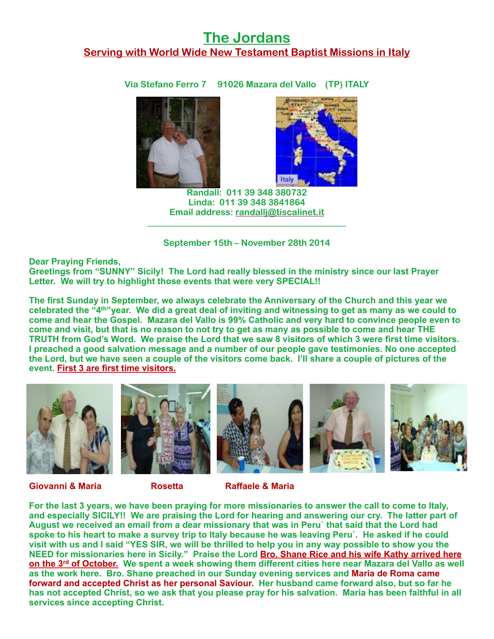## **The Jordans Serving with World Wide New Testament Baptist Missions in Italy**

**Via Stefano Ferro 7 91026 Mazara del Vallo (TP) ITALY**





**Randall: 011 39 348 380732 Linda: 011 39 348 3841864 Email address: [randallj@tiscalinet.it](mailto:randallj@tiscalinet.it)** \_\_\_\_\_\_\_\_\_\_\_\_\_\_\_\_\_\_\_\_\_\_\_\_\_\_\_\_\_\_\_\_\_\_\_\_\_\_\_\_\_\_\_\_\_ 

**September 15th – November 28th 2014**

**Dear Praying Friends,**

**Greetings from "SUNNY" Sicily! The Lord had really blessed in the ministry since our last Prayer Letter. We will try to highlight those events that were very SPECIAL!!**

**The first Sunday in September, we always celebrate the Anniversary of the Church and this year we celebrated the "4th"year. We did a great deal of inviting and witnessing to get as many as we could to come and hear the Gospel. Mazara del Vallo is 99% Catholic and very hard to convince people even to come and visit, but that is no reason to not try to get as many as possible to come and hear THE TRUTH from God's Word. We praise the Lord that we saw 8 visitors of which 3 were first time visitors. I preached a good salvation message and a number of our people gave testimonies. No one accepted the Lord, but we have seen a couple of the visitors come back. I'll share a couple of pictures of the event. First 3 are first time visitors.**



**Giovanni & Maria Rosetta Raffaele & Maria**

**For the last 3 years, we have been praying for more missionaries to answer the call to come to Italy, and especially SICILY!! We are praising the Lord for hearing and answering our cry. The latter part of August we received an email from a dear missionary that was in Peru` that said that the Lord had spoke to his heart to make a survey trip to Italy because he was leaving Peru`. He asked if he could visit with us and I said "YES SIR, we will be thrilled to help you in any way possible to show you the NEED for missionaries here in Sicily." Praise the Lord Bro. Shane Rice and his wife Kathy arrived here on the 3rd of October. We spent a week showing them different cities here near Mazara del Vallo as well as the work here. Bro. Shane preached in our Sunday evening services and Maria de Roma came forward and accepted Christ as her personal Saviour. Her husband came forward also, but so far he has not accepted Christ, so we ask that you please pray for his salvation. Maria has been faithful in all services since accepting Christ.**